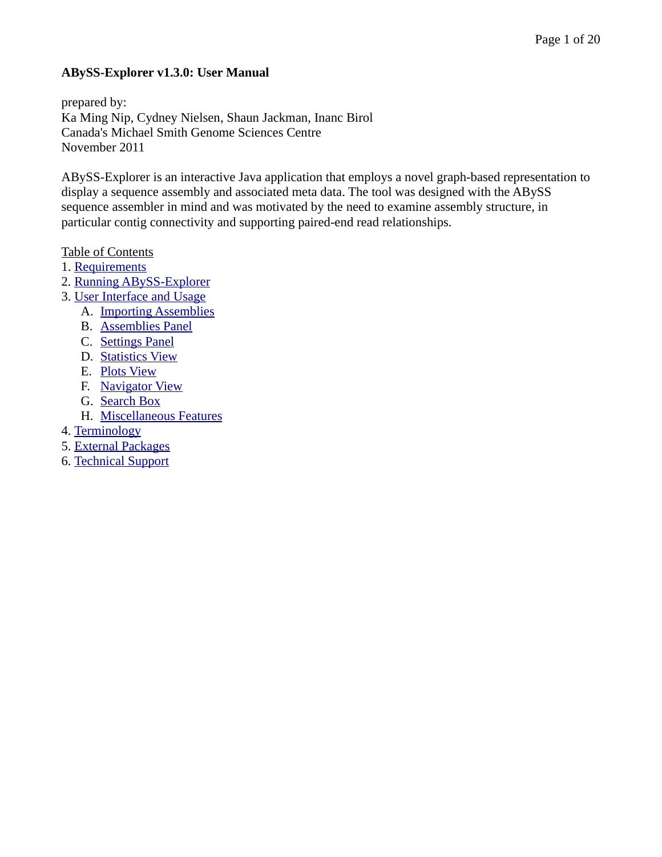#### **ABySS-Explorer v1.3.0: User Manual**

prepared by: Ka Ming Nip, Cydney Nielsen, Shaun Jackman, Inanc Birol Canada's Michael Smith Genome Sciences Centre November 2011

ABySS-Explorer is an interactive Java application that employs a novel graph-based representation to display a sequence assembly and associated meta data. The tool was designed with the ABySS sequence assembler in mind and was motivated by the need to examine assembly structure, in particular contig connectivity and supporting paired-end read relationships.

#### Table of Contents

- 1. [Requirements](#page-1-0)
- 2. [Running ABySS-Explorer](#page-2-0)
- 3. [User Interface and Usage](#page-3-0)
	- A. [Importing Assemblies](#page-4-1)
	- B. [Assemblies Panel](#page-4-0)
	- C. [Settings Panel](#page-5-0)
	- D. [Statistics View](#page-8-0)
	- E. [Plots View](#page-9-0)
	- F. [Navigator View](#page-11-0)
	- G. [Search Box](#page-15-0)
	- H. [Miscellaneous Features](#page-16-0)
- 4. [Terminology](#page-17-0)
- 5. [External Packages](#page-19-1)
- 6. [Technical Support](#page-19-0)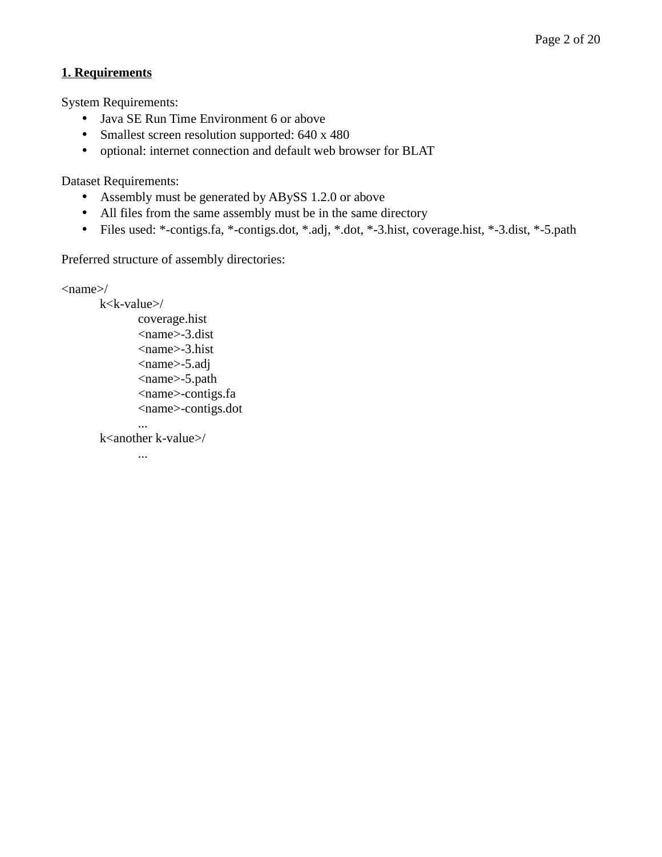#### **1. Requirements**

System Requirements:

- <span id="page-1-0"></span>• Java SE Run Time Environment 6 or above
- Smallest screen resolution supported: 640 x 480
- optional: internet connection and default web browser for BLAT

Dataset Requirements:

- Assembly must be generated by ABySS 1.2.0 or above
- All files from the same assembly must be in the same directory
- Files used: \*-contigs.fa, \*-contigs.dot, \*.adj, \*.dot, \*-3.hist, coverage.hist, \*-3.dist, \*-5.path

Preferred structure of assembly directories:

```
\langlename>/
```

```
k<k-value>/
coverage.hist
<name>-3.dist
<name>-3.hist
<name>-5.adj
<name>-5.path
<name>-contigs.fa
<name>-contigs.dot
```
k<another k-value>/

...

...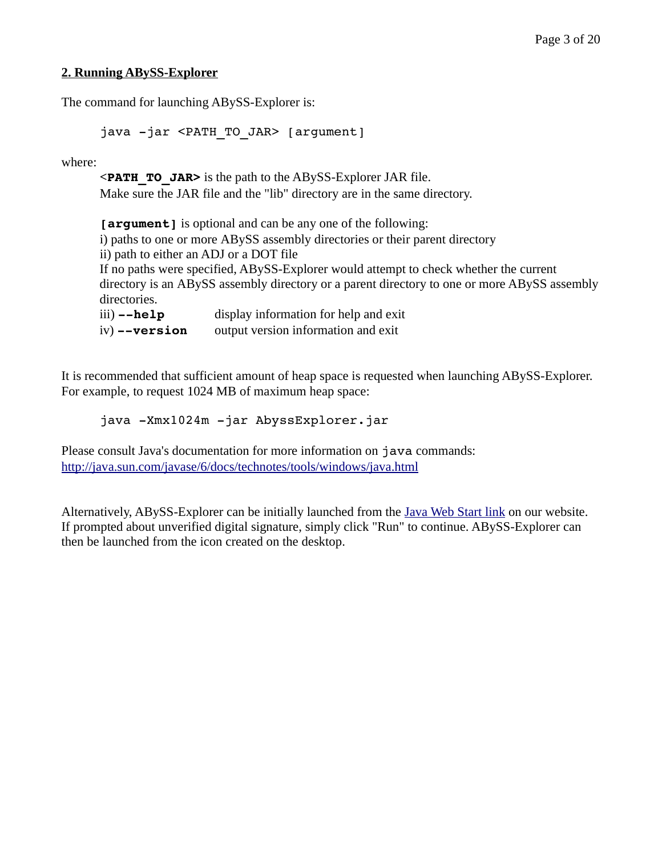#### **2. Running ABySS-Explorer**

The command for launching ABySS-Explorer is:

```
java -jar <PATH TO JAR> [argument]
```
where:

**<PATH\_TO\_JAR>** is the path to the ABySS-Explorer JAR file. Make sure the JAR file and the "lib" directory are in the same directory.

**[argument]** is optional and can be any one of the following: i) paths to one or more ABySS assembly directories or their parent directory ii) path to either an ADJ or a DOT file If no paths were specified, ABySS-Explorer would attempt to check whether the current directory is an ABySS assembly directory or a parent directory to one or more ABySS assembly directories. iii) **--help** display information for help and exit iv) **--version** output version information and exit

It is recommended that sufficient amount of heap space is requested when launching ABySS-Explorer. For example, to request 1024 MB of maximum heap space:

java -Xmx1024m -jar AbyssExplorer.jar

Please consult Java's documentation for more information on java commands: <http://java.sun.com/javase/6/docs/technotes/tools/windows/java.html>

Alternatively, ABySS-Explorer can be initially launched from the *Java Web Start link* on our website. If prompted about unverified digital signature, simply click "Run" to continue. ABySS-Explorer can then be launched from the icon created on the desktop.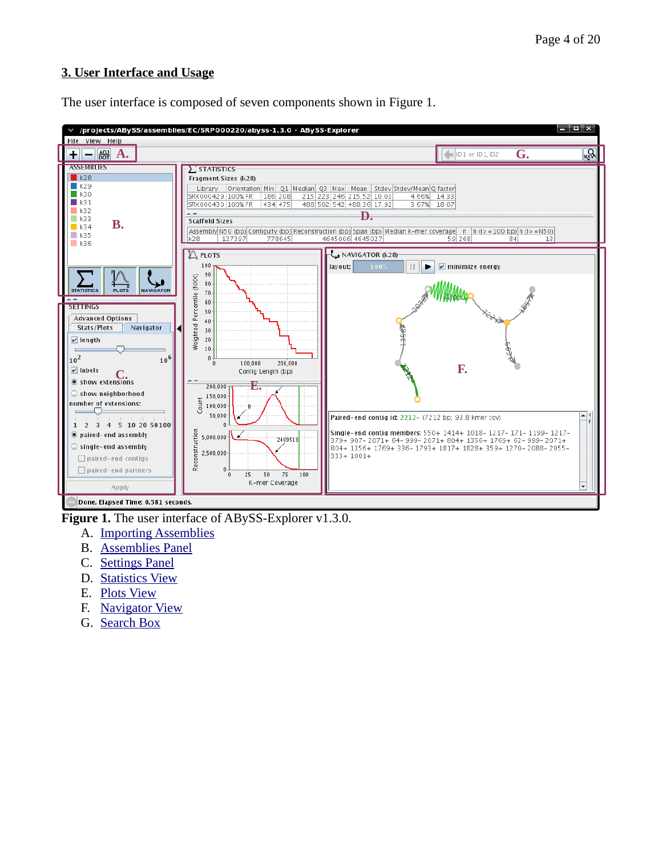#### <span id="page-3-0"></span>**3. User Interface and Usage**



The user interface is composed of seven components shown in Figure 1.

**Figure 1.** The user interface of ABySS-Explorer v1.3.0.

- A. [Importing Assemblies](#page-4-1)
- B. [Assemblies Panel](#page-4-0)
- C. [Settings Panel](#page-5-0)
- D. [Statistics View](#page-8-0)
- E. [Plots View](#page-9-0)
- F. [Navigator View](#page-11-0)
- G. [Search Box](#page-15-0)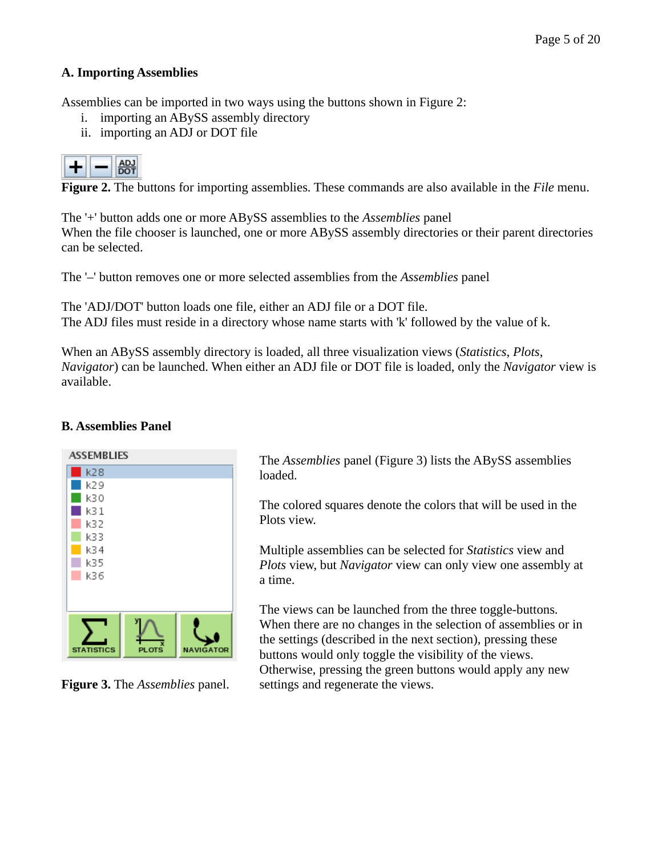#### **A. Importing Assemblies**

Assemblies can be imported in two ways using the buttons shown in Figure 2:

- <span id="page-4-1"></span>i. importing an ABySS assembly directory
- ii. importing an ADJ or DOT file



**Figure 2.** The buttons for importing assemblies. These commands are also available in the *File* menu.

The '+' button adds one or more ABySS assemblies to the *Assemblies* panel When the file chooser is launched, one or more ABySS assembly directories or their parent directories can be selected.

The '–' button removes one or more selected assemblies from the *Assemblies* panel

The 'ADJ/DOT' button loads one file, either an ADJ file or a DOT file. The ADJ files must reside in a directory whose name starts with 'k' followed by the value of k.

When an ABySS assembly directory is loaded, all three visualization views (*Statistics*, *Plots*, *Navigator*) can be launched. When either an ADJ file or DOT file is loaded, only the *Navigator* view is available.

#### **B. Assemblies Panel**



**Figure 3.** The *Assemblies* panel.

<span id="page-4-0"></span>The *Assemblies* panel (Figure 3) lists the ABySS assemblies loaded.

The colored squares denote the colors that will be used in the Plots view.

Multiple assemblies can be selected for *Statistics* view and *Plots* view, but *Navigator* view can only view one assembly at a time.

The views can be launched from the three toggle-buttons. When there are no changes in the selection of assemblies or in the settings (described in the next section), pressing these buttons would only toggle the visibility of the views. Otherwise, pressing the green buttons would apply any new settings and regenerate the views.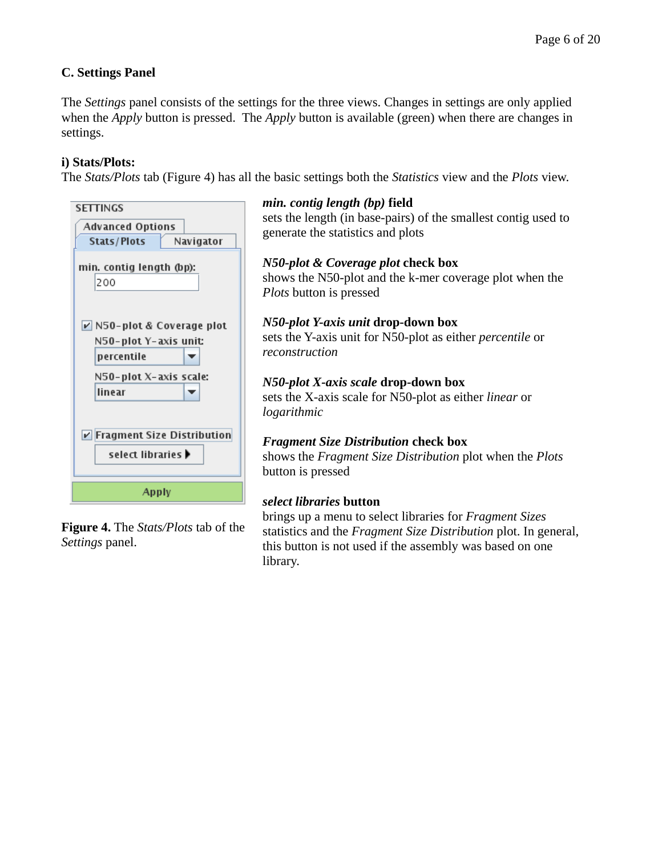#### <span id="page-5-0"></span>**C. Settings Panel**

The *Settings* panel consists of the settings for the three views. Changes in settings are only applied when the *Apply* button is pressed. The *Apply* button is available (green) when there are changes in settings.

#### **i) Stats/Plots:**

The *Stats/Plots* tab (Figure 4) has all the basic settings both the *Statistics* view and the *Plots* view.

| <b>SETTINGS</b>                           |
|-------------------------------------------|
| Advanced Options                          |
| <b>Stats/Plots</b><br>Navigator           |
| min. contig length (bp):                  |
| 200                                       |
|                                           |
| $\triangleright$ N50-plot & Coverage plot |
| N50-plot Y-axis unit:                     |
| percentile                                |
| N50-plot X-axis scale:                    |
| linear                                    |
|                                           |
| <b>▽ Fragment Size Distribution</b>       |
| select libraries $\blacktriangleright$    |
|                                           |
| Apply                                     |

**Figure 4.** The *Stats/Plots* tab of the *Settings* panel.

#### *min. contig length (bp)* **field**

sets the length (in base-pairs) of the smallest contig used to generate the statistics and plots

#### *N50-plot & Coverage plot* **check box**

shows the N50-plot and the k-mer coverage plot when the *Plots* button is pressed

#### *N50-plot Y-axis unit* **drop-down box**

sets the Y-axis unit for N50-plot as either *percentile* or *reconstruction*

#### *N50-plot X-axis scale* **drop-down box** sets the X-axis scale for N50-plot as either *linear* or *logarithmic*

#### *Fragment Size Distribution* **check box**

shows the *Fragment Size Distribution* plot when the *Plots* button is pressed

#### *select libraries* **button**

brings up a menu to select libraries for *Fragment Sizes* statistics and the *Fragment Size Distribution* plot. In general, this button is not used if the assembly was based on one library.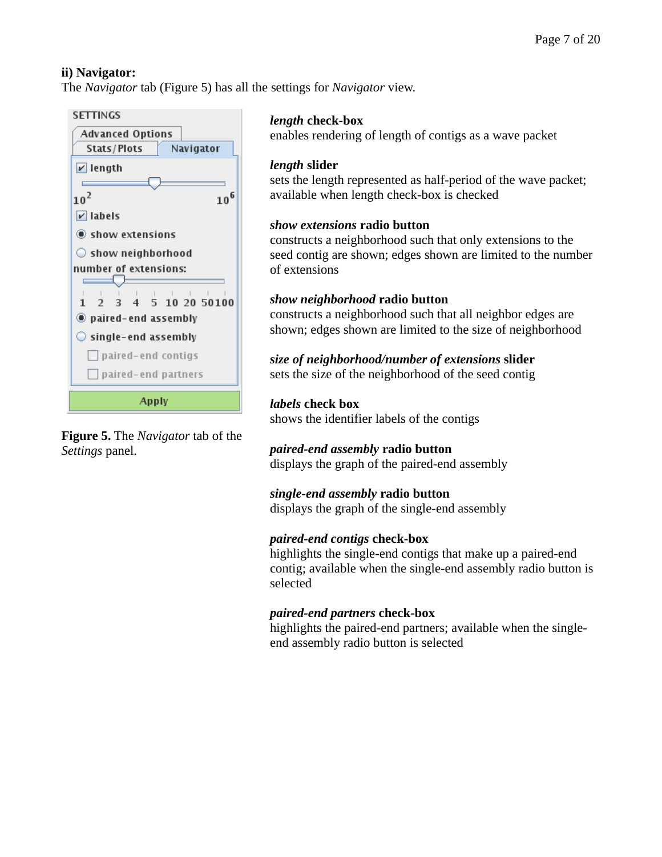#### **ii) Navigator:**

The *Navigator* tab (Figure 5) has all the settings for *Navigator* view.





## *length* **check-box**

enables rendering of length of contigs as a wave packet

#### *length* **slider**

sets the length represented as half-period of the wave packet; available when length check-box is checked

## *show extensions* **radio button**

constructs a neighborhood such that only extensions to the seed contig are shown; edges shown are limited to the number of extensions

#### *show neighborhood* **radio button**

constructs a neighborhood such that all neighbor edges are shown; edges shown are limited to the size of neighborhood

## *size of neighborhood/number of extensions* **slider**

sets the size of the neighborhood of the seed contig

## *labels* **check box**

shows the identifier labels of the contigs

# *paired-end assembly* **radio button**

displays the graph of the paired-end assembly

#### *single-end assembly* **radio button**

displays the graph of the single-end assembly

## *paired-end contigs* **check-box**

highlights the single-end contigs that make up a paired-end contig; available when the single-end assembly radio button is selected

## *paired-end partners* **check-box**

highlights the paired-end partners; available when the singleend assembly radio button is selected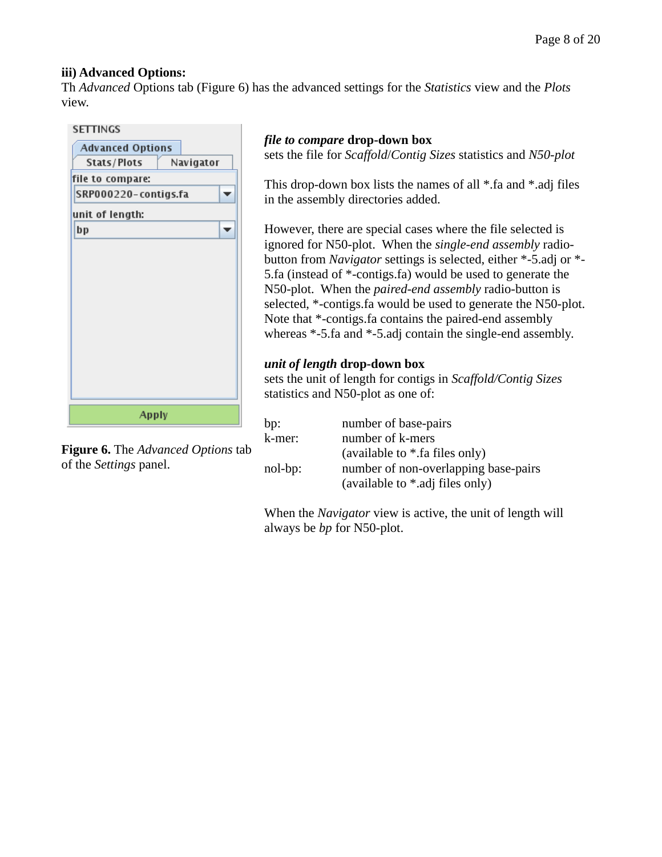#### **iii) Advanced Options:**

Th *Advanced* Options tab (Figure 6) has the advanced settings for the *Statistics* view and the *Plots* view.

| <b>SETTINGS</b>         |           |
|-------------------------|-----------|
| <b>Advanced Options</b> |           |
| Stats/Plots             | Navigator |
| file to compare:        |           |
| SRP000220-contigs.fa    |           |
| unit of length:         |           |
| bp                      |           |
|                         |           |
|                         |           |
|                         |           |
|                         |           |
|                         |           |
|                         |           |
|                         |           |
|                         |           |
|                         |           |
|                         |           |
| Apply                   |           |

**Figure 6.** The *Advanced Options* tab of the *Settings* panel.

## *file to compare* **drop-down box**

sets the file for *Scaffold*/*Contig Sizes* statistics and *N50-plot*

This drop-down box lists the names of all \*.fa and \*.adj files in the assembly directories added.

However, there are special cases where the file selected is ignored for N50-plot. When the *single-end assembly* radiobutton from *Navigator* settings is selected, either \*-5.adj or \*- 5.fa (instead of \*-contigs.fa) would be used to generate the N50-plot. When the *paired-end assembly* radio-button is selected, \*-contigs.fa would be used to generate the N50-plot. Note that \*-contigs.fa contains the paired-end assembly whereas \*-5.fa and \*-5.adj contain the single-end assembly.

#### *unit of length* **drop-down box**

sets the unit of length for contigs in *Scaffold/Contig Sizes* statistics and N50-plot as one of:

bp: number of base-pairs k-mer: number of k-mers (available to \*.fa files only) nol-bp: number of non-overlapping base-pairs (available to \*.adj files only)

When the *Navigator* view is active, the unit of length will always be *bp* for N50-plot.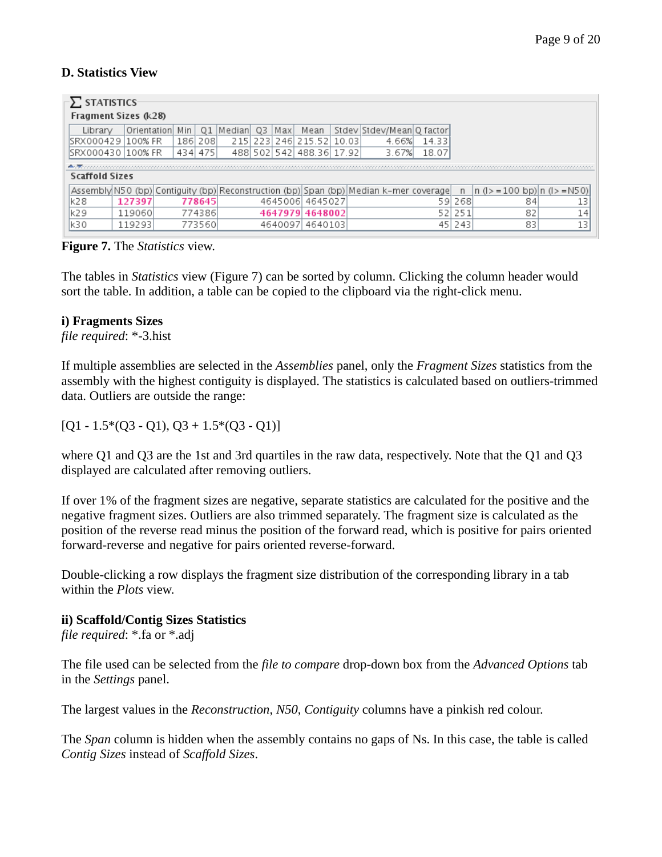## <span id="page-8-0"></span>**D. Statistics View**

| $-\sum$ statistics-   |             |  |     |         |           |    |         |                          |  |                                                                                       |        |        |                                |    |  |
|-----------------------|-------------|--|-----|---------|-----------|----|---------|--------------------------|--|---------------------------------------------------------------------------------------|--------|--------|--------------------------------|----|--|
| Fragment Sizes (k28)  |             |  |     |         |           |    |         |                          |  |                                                                                       |        |        |                                |    |  |
| Librarv               | Orientation |  | Min | 01      | l Medianl | 03 | l Max   | Mean                     |  | Stdev Stdev/Mean Q factor                                                             |        |        |                                |    |  |
| ISRX000429   100% FR  |             |  |     | 186 208 |           |    |         | 215 223 246 215 52 10.03 |  | 4.66%                                                                                 | 14.331 |        |                                |    |  |
| SRX000430   100% FR   |             |  |     | 434 475 |           |    |         | 488 502 542 488.36 17.92 |  | 3.67%                                                                                 | 18.07  |        |                                |    |  |
|                       |             |  |     |         |           |    |         |                          |  |                                                                                       |        |        |                                |    |  |
| <b>Scaffold Sizes</b> |             |  |     |         |           |    |         |                          |  |                                                                                       |        |        |                                |    |  |
|                       |             |  |     |         |           |    |         |                          |  | Assembly N50 (bp) Contiguity (bp) Reconstruction (bp) Span (bp) Median k-mer coverage |        |        | $n (3 = 100$ bp) $n (3 = N50)$ |    |  |
| lk28                  | 127397      |  |     | 778645  |           |    |         | 4645006 4645027          |  |                                                                                       |        | 59 268 | 84                             | 13 |  |
| lk29                  | 119060      |  |     | 774386  |           |    |         | 4647979 4648002          |  |                                                                                       |        | 52 251 | 82                             | 14 |  |
| lk30                  | 119293      |  |     | 773560  |           |    | 4640097 | 4640103                  |  |                                                                                       |        | 45 243 | 83                             | 13 |  |

#### **Figure 7.** The *Statistics* view.

The tables in *Statistics* view (Figure 7) can be sorted by column. Clicking the column header would sort the table. In addition, a table can be copied to the clipboard via the right-click menu.

#### **i) Fragments Sizes**

*file required*: \*-3.hist

If multiple assemblies are selected in the *Assemblies* panel, only the *Fragment Sizes* statistics from the assembly with the highest contiguity is displayed. The statistics is calculated based on outliers-trimmed data. Outliers are outside the range:

 $[Q1 - 1.5*(Q3 - Q1), Q3 + 1.5*(Q3 - Q1)]$ 

where Q1 and Q3 are the 1st and 3rd quartiles in the raw data, respectively. Note that the Q1 and Q3 displayed are calculated after removing outliers.

If over 1% of the fragment sizes are negative, separate statistics are calculated for the positive and the negative fragment sizes. Outliers are also trimmed separately. The fragment size is calculated as the position of the reverse read minus the position of the forward read, which is positive for pairs oriented forward-reverse and negative for pairs oriented reverse-forward.

Double-clicking a row displays the fragment size distribution of the corresponding library in a tab within the *Plots* view.

#### **ii) Scaffold/Contig Sizes Statistics**

*file required*: \*.fa or \*.adj

The file used can be selected from the *file to compare* drop-down box from the *Advanced Options* tab in the *Settings* panel.

The largest values in the *Reconstruction*, *N50*, *Contiguity* columns have a pinkish red colour.

The *Span* column is hidden when the assembly contains no gaps of Ns. In this case, the table is called *Contig Sizes* instead of *Scaffold Sizes*.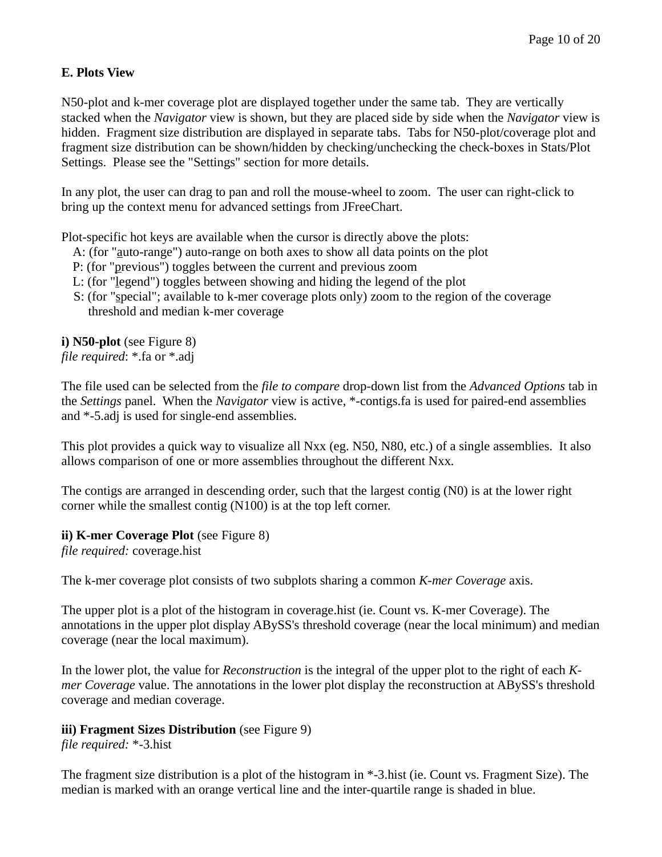## <span id="page-9-0"></span>**E. Plots View**

N50-plot and k-mer coverage plot are displayed together under the same tab. They are vertically stacked when the *Navigator* view is shown, but they are placed side by side when the *Navigator* view is hidden. Fragment size distribution are displayed in separate tabs. Tabs for N50-plot/coverage plot and fragment size distribution can be shown/hidden by checking/unchecking the check-boxes in Stats/Plot Settings. Please see the "Settings" section for more details.

In any plot, the user can drag to pan and roll the mouse-wheel to zoom. The user can right-click to bring up the context menu for advanced settings from JFreeChart.

Plot-specific hot keys are available when the cursor is directly above the plots:

- A: (for "auto-range") auto-range on both axes to show all data points on the plot
- P: (for "previous") toggles between the current and previous zoom
- L: (for "legend") toggles between showing and hiding the legend of the plot
- S: (for "special"; available to k-mer coverage plots only) zoom to the region of the coverage threshold and median k-mer coverage

**i) N50-plot** (see Figure 8) *file required*: \*.fa or \*.adj

The file used can be selected from the *file to compare* drop-down list from the *Advanced Options* tab in the *Settings* panel. When the *Navigator* view is active, \*-contigs.fa is used for paired-end assemblies and \*-5.adj is used for single-end assemblies.

This plot provides a quick way to visualize all Nxx (eg. N50, N80, etc.) of a single assemblies. It also allows comparison of one or more assemblies throughout the different Nxx.

The contigs are arranged in descending order, such that the largest contig (N0) is at the lower right corner while the smallest contig (N100) is at the top left corner.

#### **ii) K-mer Coverage Plot** (see Figure 8)

*file required:* coverage.hist

The k-mer coverage plot consists of two subplots sharing a common *K-mer Coverage* axis.

The upper plot is a plot of the histogram in coverage.hist (ie. Count vs. K-mer Coverage). The annotations in the upper plot display ABySS's threshold coverage (near the local minimum) and median coverage (near the local maximum).

In the lower plot, the value for *Reconstruction* is the integral of the upper plot to the right of each *Kmer Coverage* value. The annotations in the lower plot display the reconstruction at ABySS's threshold coverage and median coverage.

#### **iii) Fragment Sizes Distribution** (see Figure 9)

*file required:* \*-3.hist

The fragment size distribution is a plot of the histogram in \*-3.hist (ie. Count vs. Fragment Size). The median is marked with an orange vertical line and the inter-quartile range is shaded in blue.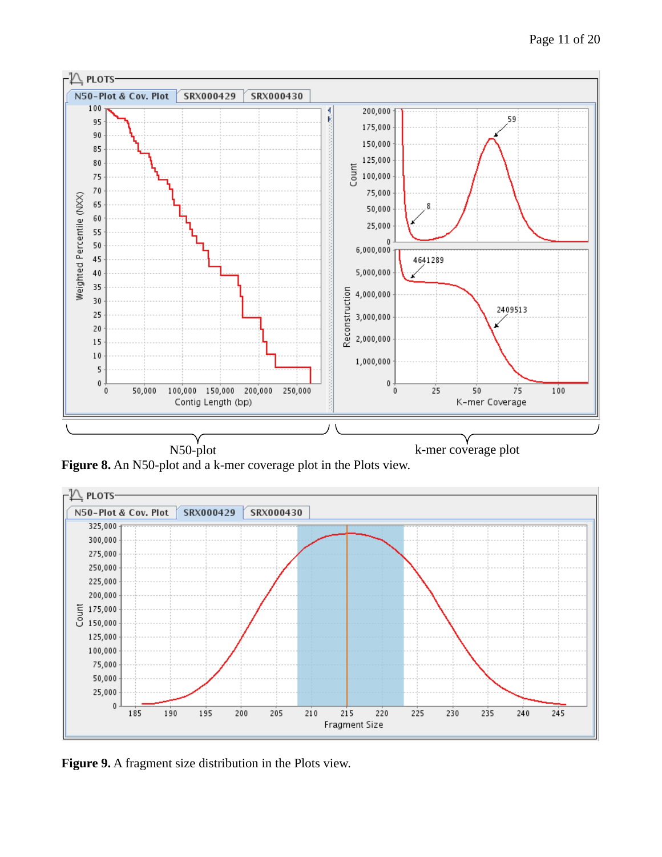

**Figure 8.** An N50-plot and a k-mer coverage plot in the Plots view.



**Figure 9.** A fragment size distribution in the Plots view.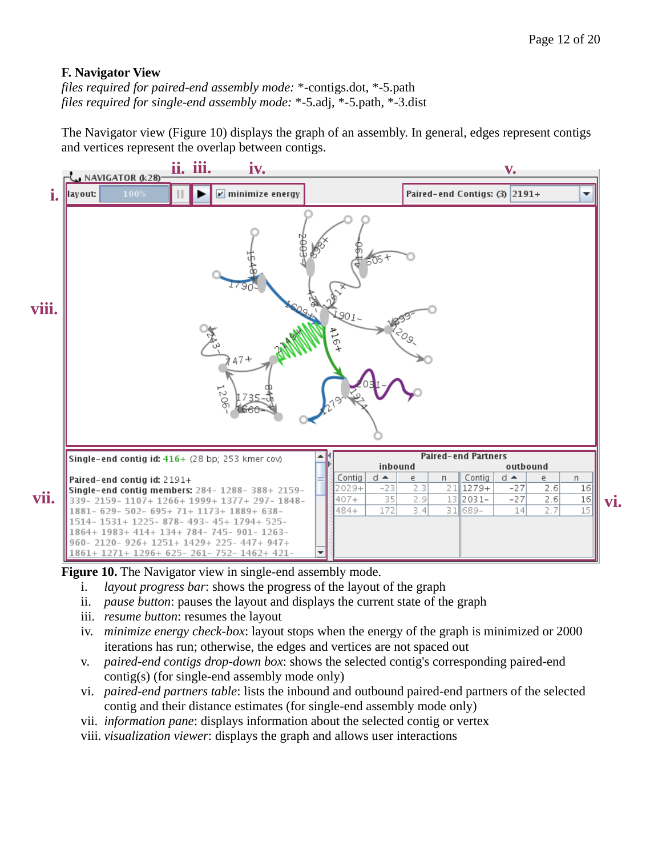#### <span id="page-11-0"></span>**F. Navigator View**

*files required for paired-end assembly mode:* \*-contigs.dot, \*-5.path *files required for single-end assembly mode:* \*-5.adj, \*-5.path, \*-3.dist

The Navigator view (Figure 10) displays the graph of an assembly. In general, edges represent contigs and vertices represent the overlap between contigs.



**Figure 10.** The Navigator view in single-end assembly mode.

- i. *layout progress bar*: shows the progress of the layout of the graph
- ii. *pause button*: pauses the layout and displays the current state of the graph
- iii. *resume button*: resumes the layout
- iv. *minimize energy check-box*: layout stops when the energy of the graph is minimized or 2000 iterations has run; otherwise, the edges and vertices are not spaced out
- v. *paired-end contigs drop-down box*: shows the selected contig's corresponding paired-end contig(s) (for single-end assembly mode only)
- vi. *paired-end partners table*: lists the inbound and outbound paired-end partners of the selected contig and their distance estimates (for single-end assembly mode only)
- vii. *information pane*: displays information about the selected contig or vertex

viii. *visualization viewer*: displays the graph and allows user interactions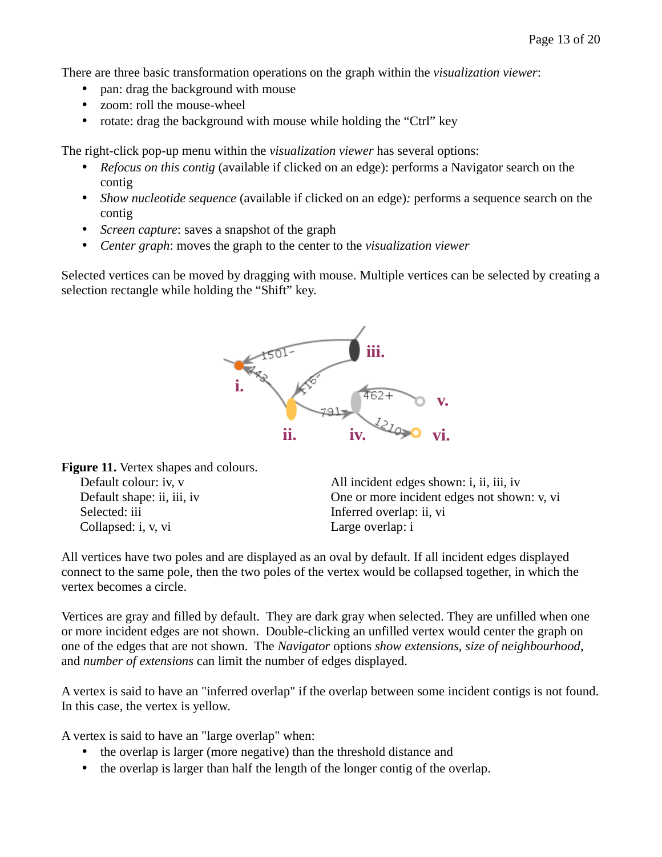There are three basic transformation operations on the graph within the *visualization viewer*:

- pan: drag the background with mouse
- zoom: roll the mouse-wheel
- rotate: drag the background with mouse while holding the "Ctrl" key

The right-click pop-up menu within the *visualization viewer* has several options:

- *Refocus on this contig* (available if clicked on an edge): performs a Navigator search on the contig
- *Show nucleotide sequence* (available if clicked on an edge)*:* performs a sequence search on the contig
- *Screen capture*: saves a snapshot of the graph
- *Center graph*: moves the graph to the center to the *visualization viewer*

Selected vertices can be moved by dragging with mouse. Multiple vertices can be selected by creating a selection rectangle while holding the "Shift" key.



**Figure 11.** Vertex shapes and colours. Default colour: iv, v Default shape: ii, iii, iv Selected: iii Collapsed: i, v, vi

All incident edges shown: i, ii, iii, iv One or more incident edges not shown: v, vi Inferred overlap: ii, vi Large overlap: i

All vertices have two poles and are displayed as an oval by default. If all incident edges displayed connect to the same pole, then the two poles of the vertex would be collapsed together, in which the vertex becomes a circle.

Vertices are gray and filled by default. They are dark gray when selected. They are unfilled when one or more incident edges are not shown. Double-clicking an unfilled vertex would center the graph on one of the edges that are not shown. The *Navigator* options *show extensions*, *size of neighbourhood*, and *number of extensions* can limit the number of edges displayed.

A vertex is said to have an "inferred overlap" if the overlap between some incident contigs is not found. In this case, the vertex is yellow.

A vertex is said to have an "large overlap" when:

- the overlap is larger (more negative) than the threshold distance and
- the overlap is larger than half the length of the longer contig of the overlap.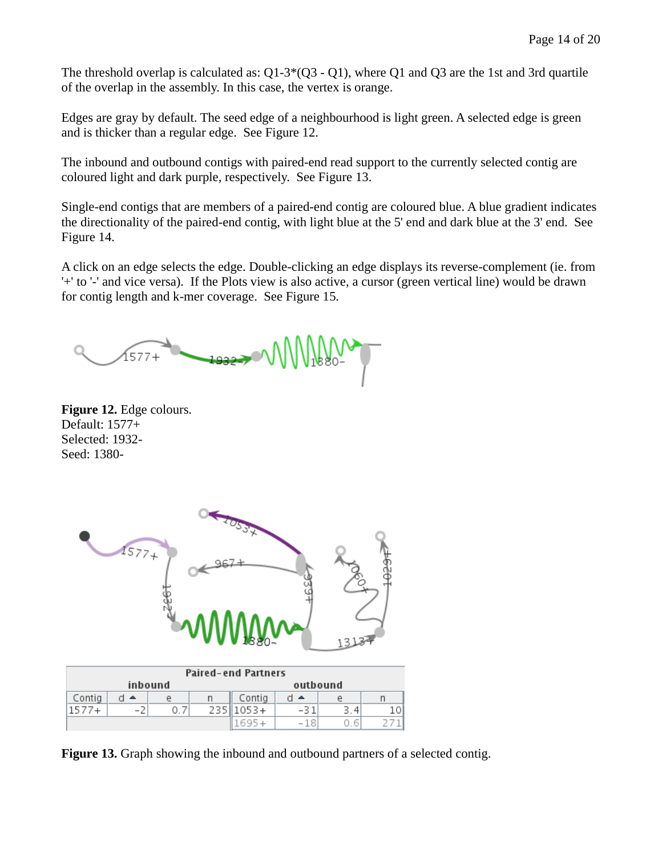The threshold overlap is calculated as: Q1-3\*(Q3 - Q1), where Q1 and Q3 are the 1st and 3rd quartile of the overlap in the assembly. In this case, the vertex is orange.

Edges are gray by default. The seed edge of a neighbourhood is light green. A selected edge is green and is thicker than a regular edge. See Figure 12.

The inbound and outbound contigs with paired-end read support to the currently selected contig are coloured light and dark purple, respectively. See Figure 13.

Single-end contigs that are members of a paired-end contig are coloured blue. A blue gradient indicates the directionality of the paired-end contig, with light blue at the 5' end and dark blue at the 3' end. See Figure 14.

A click on an edge selects the edge. Double-clicking an edge displays its reverse-complement (ie. from '+' to '-' and vice versa). If the Plots view is also active, a cursor (green vertical line) would be drawn for contig length and k-mer coverage. See Figure 15.

1577+

**Figure 12.** Edge colours. Default: 1577+ Selected: 1932- Seed: 1380-



| <b>Paired-end Partners</b> |     |         |     |          |             |         |  |  |  |
|----------------------------|-----|---------|-----|----------|-------------|---------|--|--|--|
|                            |     | inbound |     | outbound |             |         |  |  |  |
| Contig                     | -44 | P       |     | Contig   | ∼           | P       |  |  |  |
|                            | - 1 |         | 235 | $1053+$  | -31         | З.<br>4 |  |  |  |
|                            |     |         |     |          | $-18^\circ$ | PV      |  |  |  |

**Figure 13.** Graph showing the inbound and outbound partners of a selected contig.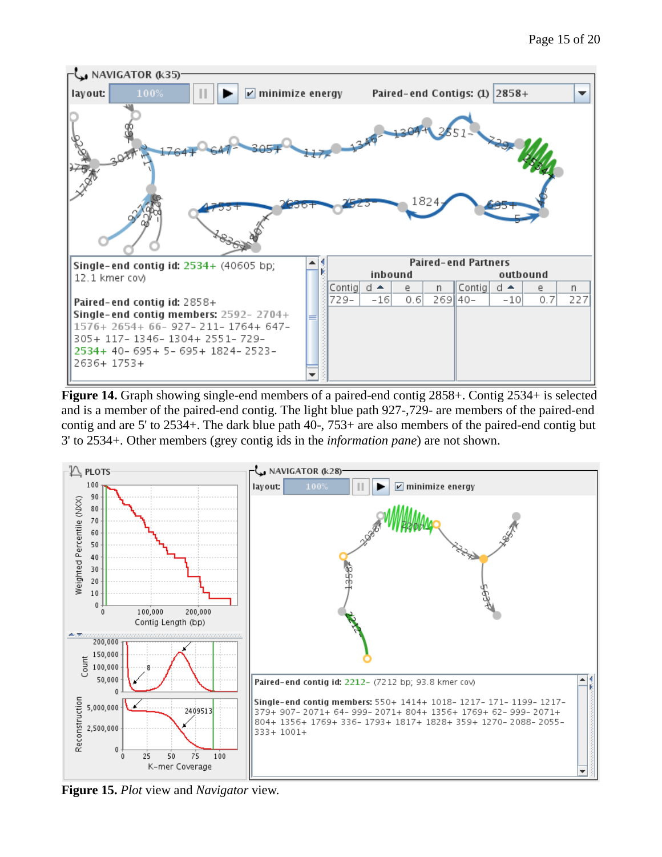

**Figure 14.** Graph showing single-end members of a paired-end contig 2858+. Contig 2534+ is selected and is a member of the paired-end contig. The light blue path 927-,729- are members of the paired-end contig and are 5' to 2534+. The dark blue path 40-, 753+ are also members of the paired-end contig but 3' to 2534+. Other members (grey contig ids in the *information pane*) are not shown.



**Figure 15.** *Plot* view and *Navigator* view.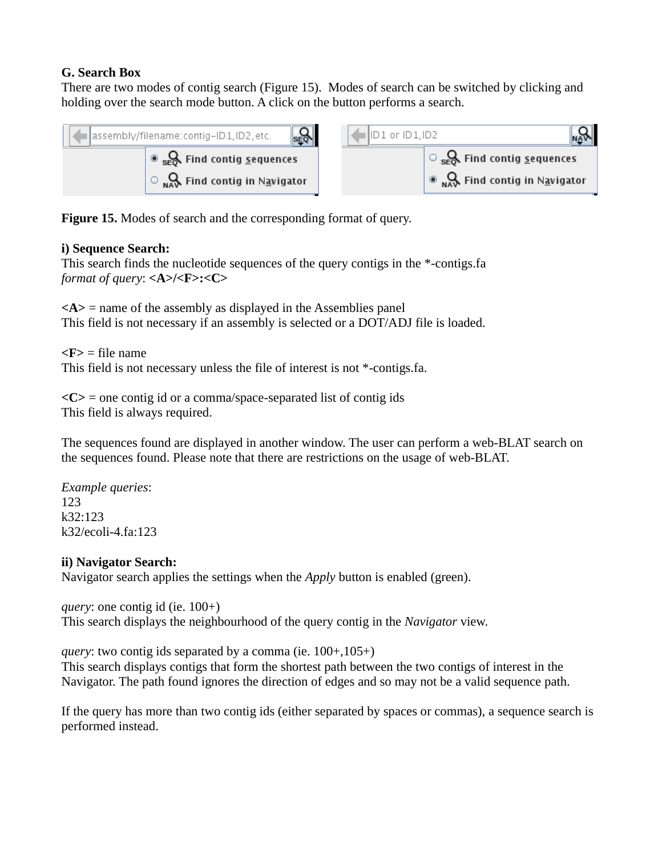## <span id="page-15-0"></span>**G. Search Box**

There are two modes of contig search (Figure 15). Modes of search can be switched by clicking and holding over the search mode button. A click on the button performs a search.





**Figure 15.** Modes of search and the corresponding format of query.

## **i) Sequence Search:**

This search finds the nucleotide sequences of the query contigs in the \*-contigs.fa *format of query*: **<A>/<F>:<C>**

 $\langle A \rangle$  = name of the assembly as displayed in the Assemblies panel This field is not necessary if an assembly is selected or a DOT/ADJ file is loaded.

 $\langle \mathbf{F} \rangle$  = file name This field is not necessary unless the file of interest is not \*-contigs.fa.

**<C>** = one contig id or a comma/space-separated list of contig ids This field is always required.

The sequences found are displayed in another window. The user can perform a web-BLAT search on the sequences found. Please note that there are restrictions on the usage of web-BLAT.

*Example queries*: 123 k32:123 k32/ecoli-4.fa:123

#### **ii) Navigator Search:**

Navigator search applies the settings when the *Apply* button is enabled (green).

*query*: one contig id (ie.  $100+$ ) This search displays the neighbourhood of the query contig in the *Navigator* view.

*query*: two contig ids separated by a comma (ie. 100+,105+) This search displays contigs that form the shortest path between the two contigs of interest in the Navigator. The path found ignores the direction of edges and so may not be a valid sequence path.

If the query has more than two contig ids (either separated by spaces or commas), a sequence search is performed instead.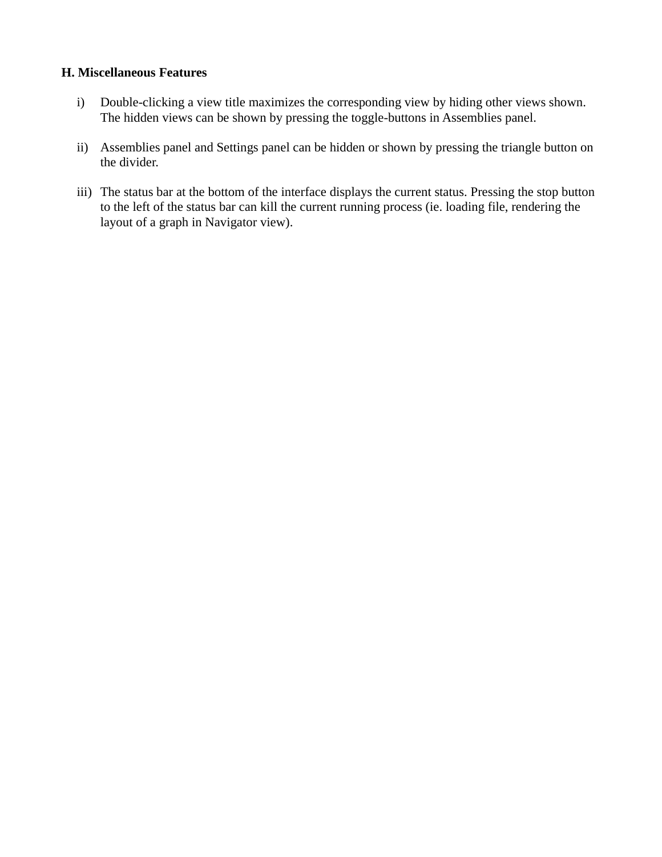#### **H. Miscellaneous Features**

- <span id="page-16-0"></span>i) Double-clicking a view title maximizes the corresponding view by hiding other views shown. The hidden views can be shown by pressing the toggle-buttons in Assemblies panel.
- ii) Assemblies panel and Settings panel can be hidden or shown by pressing the triangle button on the divider.
- iii) The status bar at the bottom of the interface displays the current status. Pressing the stop button to the left of the status bar can kill the current running process (ie. loading file, rendering the layout of a graph in Navigator view).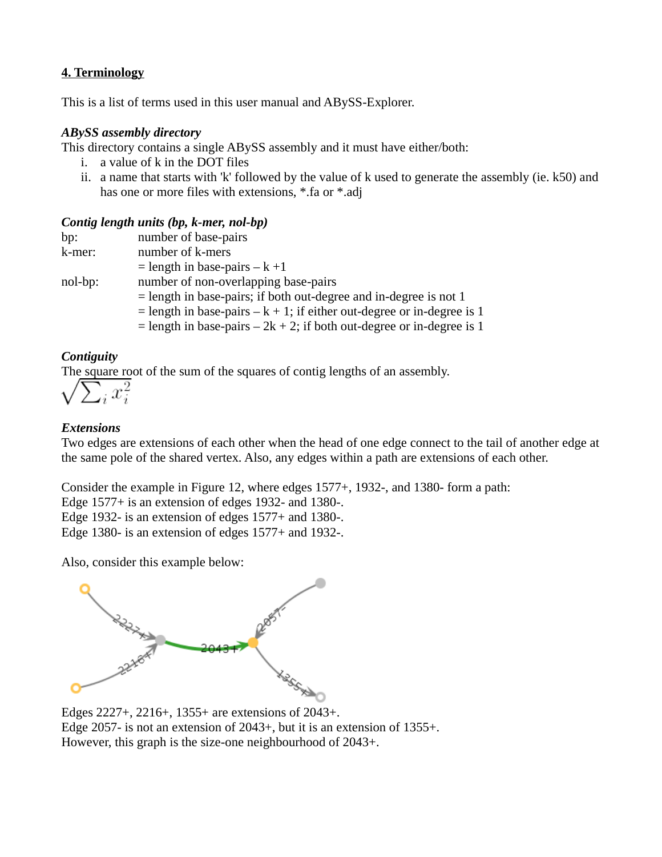## <span id="page-17-0"></span>**4. Terminology**

This is a list of terms used in this user manual and ABySS-Explorer.

#### *ABySS assembly directory*

This directory contains a single ABySS assembly and it must have either/both:

- i. a value of k in the DOT files
- ii. a name that starts with 'k' followed by the value of k used to generate the assembly (ie. k50) and has one or more files with extensions, \*.fa or \*.adj

## *Contig length units (bp, k-mer, nol-bp)*

| bp:     | number of base-pairs                                                     |
|---------|--------------------------------------------------------------------------|
| k-mer:  | number of k-mers                                                         |
|         | $=$ length in base-pairs $-$ k +1                                        |
| nol-bp: | number of non-overlapping base-pairs                                     |
|         | $=$ length in base-pairs; if both out-degree and in-degree is not 1      |
|         | = length in base-pairs $-$ k + 1; if either out-degree or in-degree is 1 |
|         | = length in base-pairs $-2k + 2$ ; if both out-degree or in-degree is 1  |
|         |                                                                          |

## *Contiguity*

The square root of the sum of the squares of contig lengths of an assembly.



## *Extensions*

Two edges are extensions of each other when the head of one edge connect to the tail of another edge at the same pole of the shared vertex. Also, any edges within a path are extensions of each other.

Consider the example in Figure 12, where edges 1577+, 1932-, and 1380- form a path:

Edge 1577+ is an extension of edges 1932- and 1380-.

Edge 1932- is an extension of edges 1577+ and 1380-.

Edge 1380- is an extension of edges 1577+ and 1932-.

Also, consider this example below:



Edge 2057- is not an extension of 2043+, but it is an extension of 1355+. However, this graph is the size-one neighbourhood of 2043+.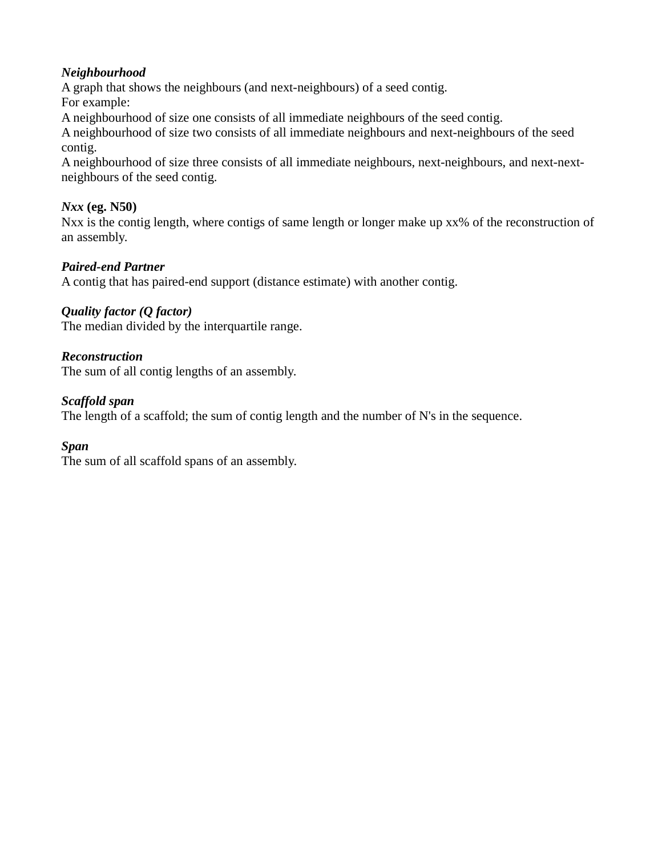## *Neighbourhood*

A graph that shows the neighbours (and next-neighbours) of a seed contig.

For example:

A neighbourhood of size one consists of all immediate neighbours of the seed contig.

A neighbourhood of size two consists of all immediate neighbours and next-neighbours of the seed contig.

A neighbourhood of size three consists of all immediate neighbours, next-neighbours, and next-nextneighbours of the seed contig.

# *Nxx* **(eg. N50)**

Nxx is the contig length, where contigs of same length or longer make up  $xx\%$  of the reconstruction of an assembly.

# *Paired-end Partner*

A contig that has paired-end support (distance estimate) with another contig.

# *Quality factor (Q factor)*

The median divided by the interquartile range.

## *Reconstruction*

The sum of all contig lengths of an assembly.

# *Scaffold span*

The length of a scaffold; the sum of contig length and the number of N's in the sequence.

## *Span*

The sum of all scaffold spans of an assembly.